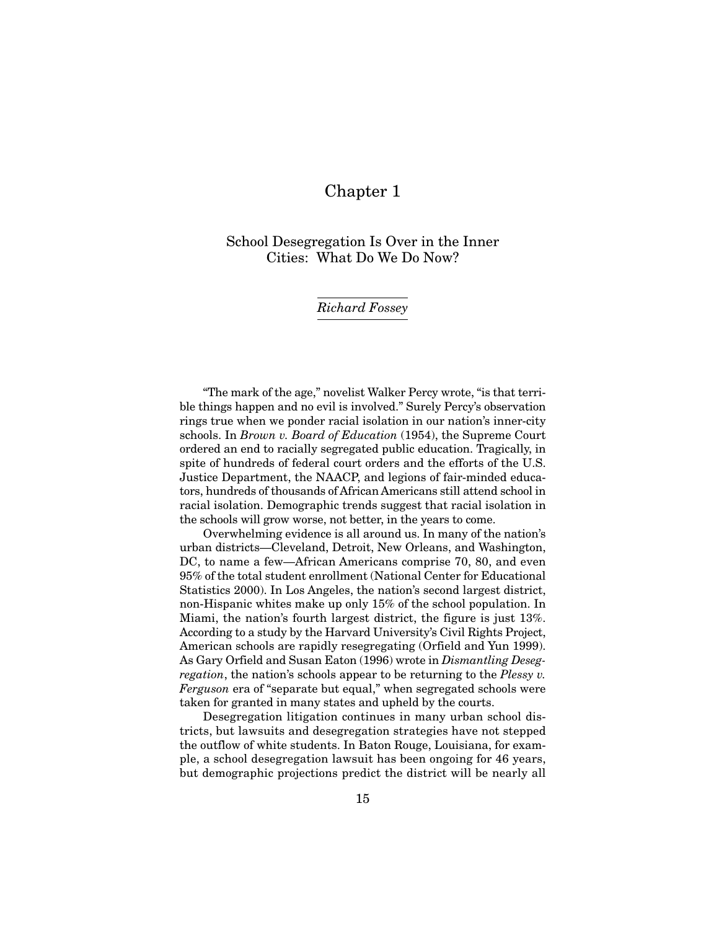# Chapter 1

## School Desegregation Is Over in the Inner Cities: What Do We Do Now?

### *Richard Fossey*

"The mark of the age," novelist Walker Percy wrote, "is that terrible things happen and no evil is involved." Surely Percy's observation rings true when we ponder racial isolation in our nation's inner-city schools. In *Brown v. Board of Education* (1954), the Supreme Court ordered an end to racially segregated public education. Tragically, in spite of hundreds of federal court orders and the efforts of the U.S. Justice Department, the NAACP, and legions of fair-minded educators, hundreds of thousands of African Americans still attend school in racial isolation. Demographic trends suggest that racial isolation in the schools will grow worse, not better, in the years to come.

Overwhelming evidence is all around us. In many of the nation's urban districts—Cleveland, Detroit, New Orleans, and Washington, DC, to name a few—African Americans comprise 70, 80, and even 95% of the total student enrollment (National Center for Educational Statistics 2000). In Los Angeles, the nation's second largest district, non-Hispanic whites make up only 15% of the school population. In Miami, the nation's fourth largest district, the figure is just 13%. According to a study by the Harvard University's Civil Rights Project, American schools are rapidly resegregating (Orfield and Yun 1999). As Gary Orfield and Susan Eaton (1996) wrote in *Dismantling Desegregation*, the nation's schools appear to be returning to the *Plessy v. Ferguson* era of "separate but equal," when segregated schools were taken for granted in many states and upheld by the courts.

Desegregation litigation continues in many urban school districts, but lawsuits and desegregation strategies have not stepped the outflow of white students. In Baton Rouge, Louisiana, for example, a school desegregation lawsuit has been ongoing for 46 years, but demographic projections predict the district will be nearly all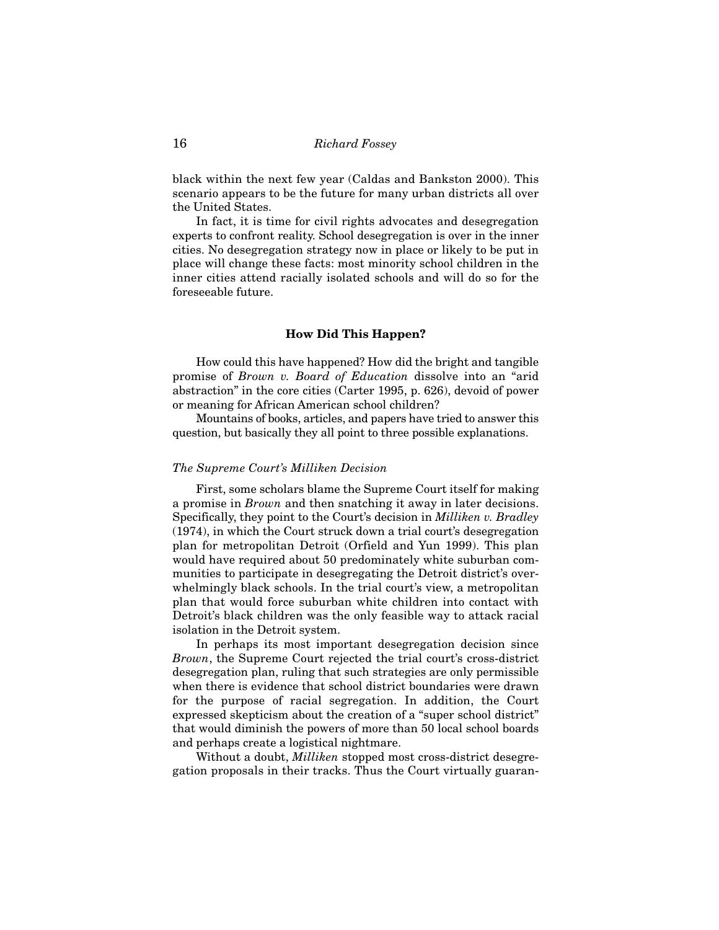black within the next few year (Caldas and Bankston 2000). This scenario appears to be the future for many urban districts all over the United States.

In fact, it is time for civil rights advocates and desegregation experts to confront reality. School desegregation is over in the inner cities. No desegregation strategy now in place or likely to be put in place will change these facts: most minority school children in the inner cities attend racially isolated schools and will do so for the foreseeable future.

#### **How Did This Happen?**

How could this have happened? How did the bright and tangible promise of *Brown v. Board of Education* dissolve into an "arid abstraction" in the core cities (Carter 1995, p. 626), devoid of power or meaning for African American school children?

Mountains of books, articles, and papers have tried to answer this question, but basically they all point to three possible explanations.

#### *The Supreme Court's Milliken Decision*

First, some scholars blame the Supreme Court itself for making a promise in *Brown* and then snatching it away in later decisions. Specifically, they point to the Court's decision in *Milliken v. Bradley* (1974), in which the Court struck down a trial court's desegregation plan for metropolitan Detroit (Orfield and Yun 1999). This plan would have required about 50 predominately white suburban communities to participate in desegregating the Detroit district's overwhelmingly black schools. In the trial court's view, a metropolitan plan that would force suburban white children into contact with Detroit's black children was the only feasible way to attack racial isolation in the Detroit system.

In perhaps its most important desegregation decision since *Brown*, the Supreme Court rejected the trial court's cross-district desegregation plan, ruling that such strategies are only permissible when there is evidence that school district boundaries were drawn for the purpose of racial segregation. In addition, the Court expressed skepticism about the creation of a "super school district" that would diminish the powers of more than 50 local school boards and perhaps create a logistical nightmare.

Without a doubt, *Milliken* stopped most cross-district desegregation proposals in their tracks. Thus the Court virtually guaran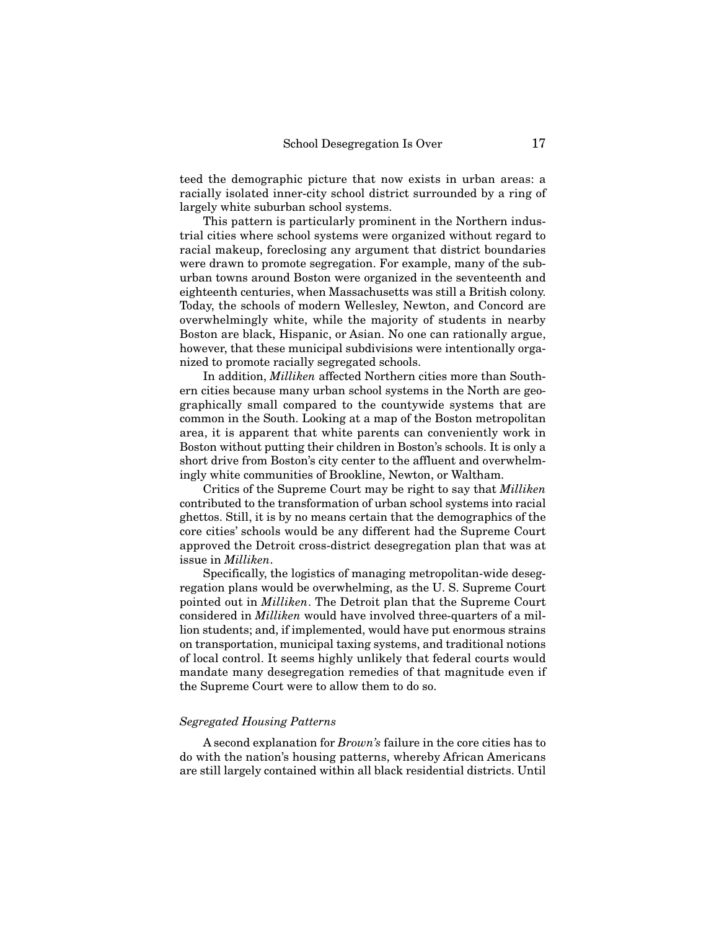teed the demographic picture that now exists in urban areas: a racially isolated inner-city school district surrounded by a ring of largely white suburban school systems.

This pattern is particularly prominent in the Northern industrial cities where school systems were organized without regard to racial makeup, foreclosing any argument that district boundaries were drawn to promote segregation. For example, many of the suburban towns around Boston were organized in the seventeenth and eighteenth centuries, when Massachusetts was still a British colony. Today, the schools of modern Wellesley, Newton, and Concord are overwhelmingly white, while the majority of students in nearby Boston are black, Hispanic, or Asian. No one can rationally argue, however, that these municipal subdivisions were intentionally organized to promote racially segregated schools.

In addition, *Milliken* affected Northern cities more than Southern cities because many urban school systems in the North are geographically small compared to the countywide systems that are common in the South. Looking at a map of the Boston metropolitan area, it is apparent that white parents can conveniently work in Boston without putting their children in Boston's schools. It is only a short drive from Boston's city center to the affluent and overwhelmingly white communities of Brookline, Newton, or Waltham.

Critics of the Supreme Court may be right to say that *Milliken* contributed to the transformation of urban school systems into racial ghettos. Still, it is by no means certain that the demographics of the core cities' schools would be any different had the Supreme Court approved the Detroit cross-district desegregation plan that was at issue in *Milliken*.

Specifically, the logistics of managing metropolitan-wide desegregation plans would be overwhelming, as the U. S. Supreme Court pointed out in *Milliken*. The Detroit plan that the Supreme Court considered in *Milliken* would have involved three-quarters of a million students; and, if implemented, would have put enormous strains on transportation, municipal taxing systems, and traditional notions of local control. It seems highly unlikely that federal courts would mandate many desegregation remedies of that magnitude even if the Supreme Court were to allow them to do so.

#### *Segregated Housing Patterns*

A second explanation for *Brown's* failure in the core cities has to do with the nation's housing patterns, whereby African Americans are still largely contained within all black residential districts. Until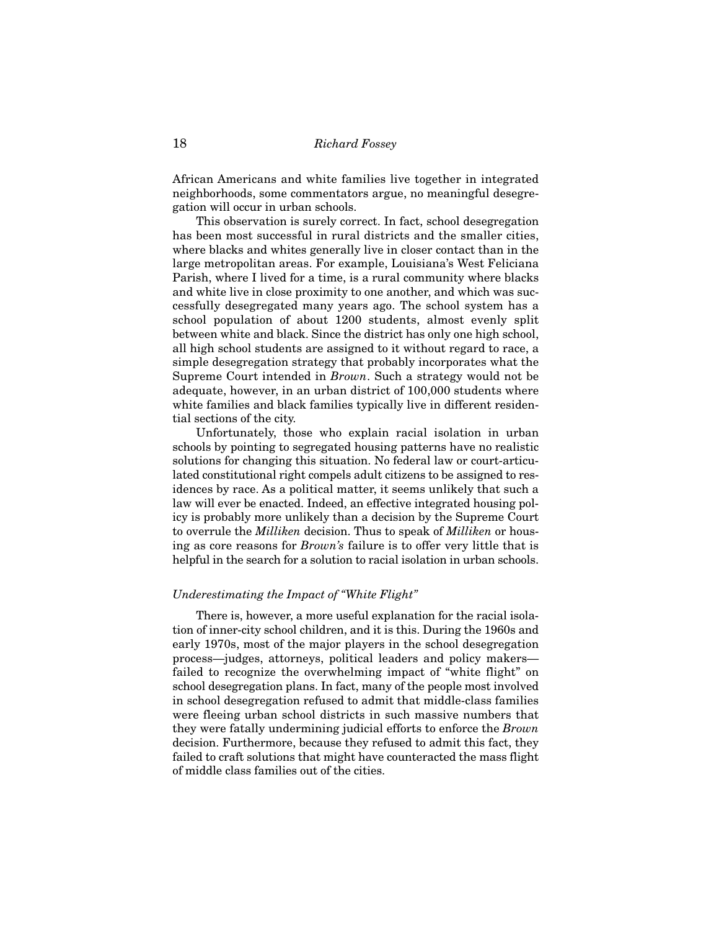African Americans and white families live together in integrated neighborhoods, some commentators argue, no meaningful desegregation will occur in urban schools.

This observation is surely correct. In fact, school desegregation has been most successful in rural districts and the smaller cities, where blacks and whites generally live in closer contact than in the large metropolitan areas. For example, Louisiana's West Feliciana Parish, where I lived for a time, is a rural community where blacks and white live in close proximity to one another, and which was successfully desegregated many years ago. The school system has a school population of about 1200 students, almost evenly split between white and black. Since the district has only one high school, all high school students are assigned to it without regard to race, a simple desegregation strategy that probably incorporates what the Supreme Court intended in *Brown*. Such a strategy would not be adequate, however, in an urban district of 100,000 students where white families and black families typically live in different residential sections of the city.

Unfortunately, those who explain racial isolation in urban schools by pointing to segregated housing patterns have no realistic solutions for changing this situation. No federal law or court-articulated constitutional right compels adult citizens to be assigned to residences by race. As a political matter, it seems unlikely that such a law will ever be enacted. Indeed, an effective integrated housing policy is probably more unlikely than a decision by the Supreme Court to overrule the *Milliken* decision. Thus to speak of *Milliken* or housing as core reasons for *Brown's* failure is to offer very little that is helpful in the search for a solution to racial isolation in urban schools.

#### *Underestimating the Impact of "White Flight"*

There is, however, a more useful explanation for the racial isolation of inner-city school children, and it is this. During the 1960s and early 1970s, most of the major players in the school desegregation process—judges, attorneys, political leaders and policy makers failed to recognize the overwhelming impact of "white flight" on school desegregation plans. In fact, many of the people most involved in school desegregation refused to admit that middle-class families were fleeing urban school districts in such massive numbers that they were fatally undermining judicial efforts to enforce the *Brown* decision. Furthermore, because they refused to admit this fact, they failed to craft solutions that might have counteracted the mass flight of middle class families out of the cities.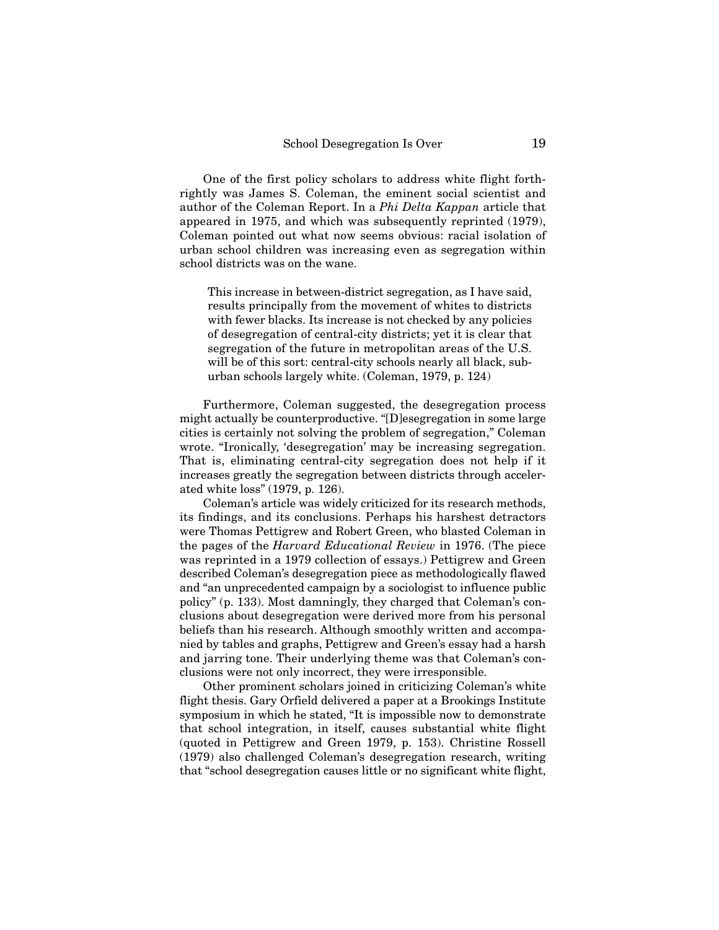One of the first policy scholars to address white flight forthrightly was James S. Coleman, the eminent social scientist and author of the Coleman Report. In a *Phi Delta Kappan* article that appeared in 1975, and which was subsequently reprinted (1979), Coleman pointed out what now seems obvious: racial isolation of urban school children was increasing even as segregation within school districts was on the wane.

This increase in between-district segregation, as I have said, results principally from the movement of whites to districts with fewer blacks. Its increase is not checked by any policies of desegregation of central-city districts; yet it is clear that segregation of the future in metropolitan areas of the U.S. will be of this sort: central-city schools nearly all black, suburban schools largely white. (Coleman, 1979, p. 124)

Furthermore, Coleman suggested, the desegregation process might actually be counterproductive. "[D]esegregation in some large cities is certainly not solving the problem of segregation," Coleman wrote. "Ironically, 'desegregation' may be increasing segregation. That is, eliminating central-city segregation does not help if it increases greatly the segregation between districts through accelerated white loss" (1979, p. 126).

Coleman's article was widely criticized for its research methods, its findings, and its conclusions. Perhaps his harshest detractors were Thomas Pettigrew and Robert Green, who blasted Coleman in the pages of the *Harvard Educational Review* in 1976. (The piece was reprinted in a 1979 collection of essays.) Pettigrew and Green described Coleman's desegregation piece as methodologically flawed and "an unprecedented campaign by a sociologist to influence public policy" (p. 133). Most damningly, they charged that Coleman's conclusions about desegregation were derived more from his personal beliefs than his research. Although smoothly written and accompanied by tables and graphs, Pettigrew and Green's essay had a harsh and jarring tone. Their underlying theme was that Coleman's conclusions were not only incorrect, they were irresponsible.

Other prominent scholars joined in criticizing Coleman's white flight thesis. Gary Orfield delivered a paper at a Brookings Institute symposium in which he stated, "It is impossible now to demonstrate that school integration, in itself, causes substantial white flight (quoted in Pettigrew and Green 1979, p. 153). Christine Rossell (1979) also challenged Coleman's desegregation research, writing that "school desegregation causes little or no significant white flight,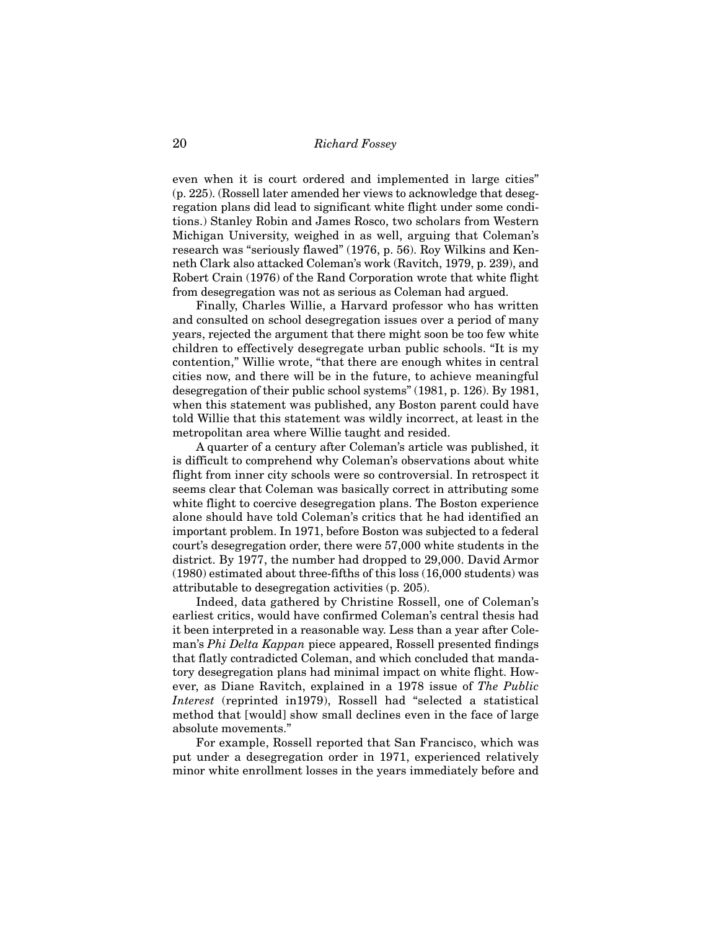even when it is court ordered and implemented in large cities" (p. 225). (Rossell later amended her views to acknowledge that desegregation plans did lead to significant white flight under some conditions.) Stanley Robin and James Rosco, two scholars from Western Michigan University, weighed in as well, arguing that Coleman's research was "seriously flawed" (1976, p. 56). Roy Wilkins and Kenneth Clark also attacked Coleman's work (Ravitch, 1979, p. 239), and Robert Crain (1976) of the Rand Corporation wrote that white flight from desegregation was not as serious as Coleman had argued.

Finally, Charles Willie, a Harvard professor who has written and consulted on school desegregation issues over a period of many years, rejected the argument that there might soon be too few white children to effectively desegregate urban public schools. "It is my contention," Willie wrote, "that there are enough whites in central cities now, and there will be in the future, to achieve meaningful desegregation of their public school systems" (1981, p. 126). By 1981, when this statement was published, any Boston parent could have told Willie that this statement was wildly incorrect, at least in the metropolitan area where Willie taught and resided.

A quarter of a century after Coleman's article was published, it is difficult to comprehend why Coleman's observations about white flight from inner city schools were so controversial. In retrospect it seems clear that Coleman was basically correct in attributing some white flight to coercive desegregation plans. The Boston experience alone should have told Coleman's critics that he had identified an important problem. In 1971, before Boston was subjected to a federal court's desegregation order, there were 57,000 white students in the district. By 1977, the number had dropped to 29,000. David Armor (1980) estimated about three-fifths of this loss (16,000 students) was attributable to desegregation activities (p. 205).

Indeed, data gathered by Christine Rossell, one of Coleman's earliest critics, would have confirmed Coleman's central thesis had it been interpreted in a reasonable way. Less than a year after Coleman's *Phi Delta Kappan* piece appeared, Rossell presented findings that flatly contradicted Coleman, and which concluded that mandatory desegregation plans had minimal impact on white flight. However, as Diane Ravitch, explained in a 1978 issue of *The Public Interest* (reprinted in1979), Rossell had "selected a statistical method that [would] show small declines even in the face of large absolute movements."

For example, Rossell reported that San Francisco, which was put under a desegregation order in 1971, experienced relatively minor white enrollment losses in the years immediately before and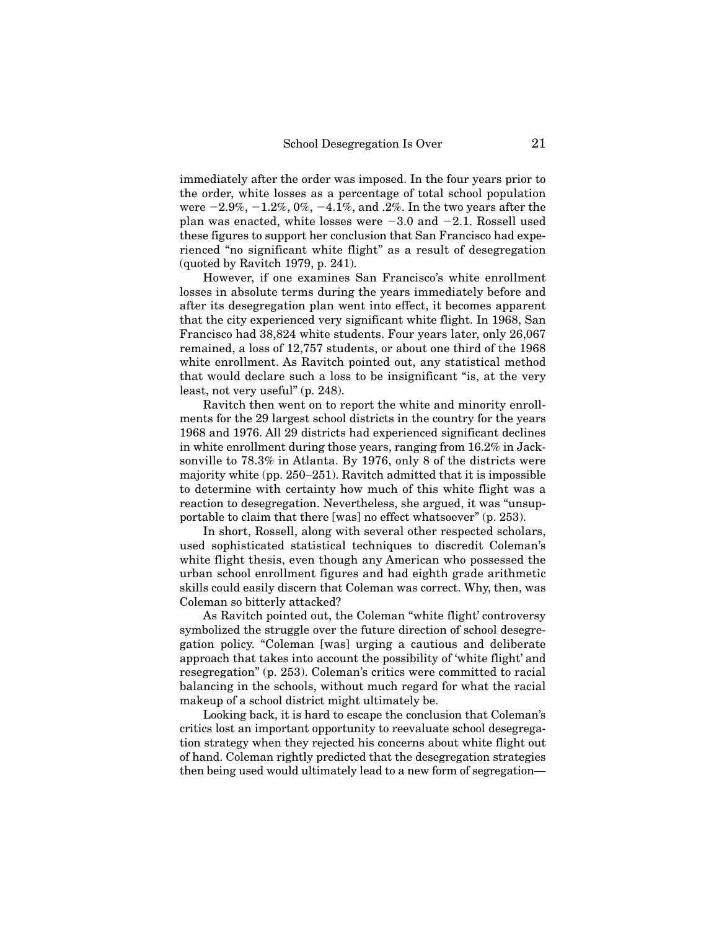immediately after the order was imposed. In the four years prior to the order, white losses as a percentage of total school population were  $-2.9\%$ ,  $-1.2\%$ ,  $0\%$ ,  $-4.1\%$ , and .2%. In the two years after the plan was enacted, white losses were  $-3.0$  and  $-2.1$ . Rossell used these figures to support her conclusion that San Francisco had experienced "no significant white flight" as a result of desegregation (quoted by Ravitch 1979, p. 241).

However, if one examines San Francisco's white enrollment losses in absolute terms during the years immediately before and after its desegregation plan went into effect, it becomes apparent that the city experienced very significant white flight. In 1968, San Francisco had 38,824 white students. Four years later, only 26,067 remained, a loss of 12,757 students, or about one third of the 1968 white enrollment. As Ravitch pointed out, any statistical method that would declare such a loss to be insignificant "is, at the very least, not very useful" (p. 248).

Ravitch then went on to report the white and minority enrollments for the 29 largest school districts in the country for the years 1968 and 1976. All 29 districts had experienced significant declines in white enrollment during those years, ranging from 16.2% in Jacksonville to 78.3% in Atlanta. By 1976, only 8 of the districts were majority white (pp. 250–251). Ravitch admitted that it is impossible to determine with certainty how much of this white flight was a reaction to desegregation. Nevertheless, she argued, it was "unsupportable to claim that there [was] no effect whatsoever" (p. 253).

In short, Rossell, along with several other respected scholars, used sophisticated statistical techniques to discredit Coleman's white flight thesis, even though any American who possessed the urban school enrollment figures and had eighth grade arithmetic skills could easily discern that Coleman was correct. Why, then, was Coleman so bitterly attacked?

As Ravitch pointed out, the Coleman "white flight' controversy symbolized the struggle over the future direction of school desegregation policy. "Coleman [was] urging a cautious and deliberate approach that takes into account the possibility of 'white flight' and resegregation" (p. 253). Coleman's critics were committed to racial balancing in the schools, without much regard for what the racial makeup of a school district might ultimately be.

Looking back, it is hard to escape the conclusion that Coleman's critics lost an important opportunity to reevaluate school desegregation strategy when they rejected his concerns about white flight out of hand. Coleman rightly predicted that the desegregation strategies then being used would ultimately lead to a new form of segregation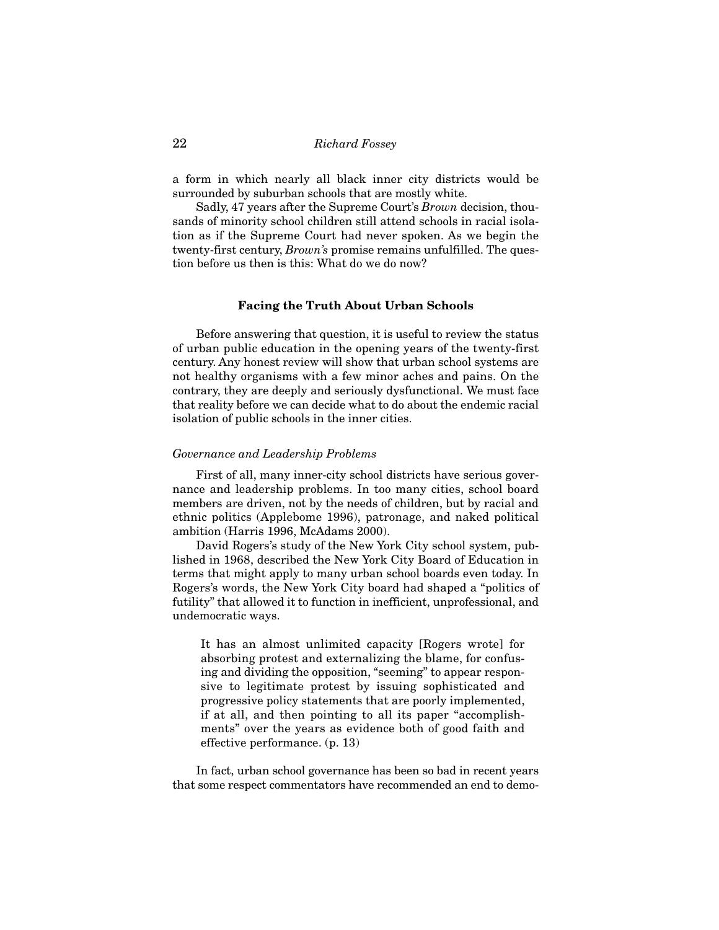a form in which nearly all black inner city districts would be surrounded by suburban schools that are mostly white.

Sadly, 47 years after the Supreme Court's *Brown* decision, thousands of minority school children still attend schools in racial isolation as if the Supreme Court had never spoken. As we begin the twenty-first century, *Brown's* promise remains unfulfilled. The question before us then is this: What do we do now?

#### **Facing the Truth About Urban Schools**

Before answering that question, it is useful to review the status of urban public education in the opening years of the twenty-first century. Any honest review will show that urban school systems are not healthy organisms with a few minor aches and pains. On the contrary, they are deeply and seriously dysfunctional. We must face that reality before we can decide what to do about the endemic racial isolation of public schools in the inner cities.

#### *Governance and Leadership Problems*

First of all, many inner-city school districts have serious governance and leadership problems. In too many cities, school board members are driven, not by the needs of children, but by racial and ethnic politics (Applebome 1996), patronage, and naked political ambition (Harris 1996, McAdams 2000).

David Rogers's study of the New York City school system, published in 1968, described the New York City Board of Education in terms that might apply to many urban school boards even today. In Rogers's words, the New York City board had shaped a "politics of futility" that allowed it to function in inefficient, unprofessional, and undemocratic ways.

It has an almost unlimited capacity [Rogers wrote] for absorbing protest and externalizing the blame, for confusing and dividing the opposition, "seeming" to appear responsive to legitimate protest by issuing sophisticated and progressive policy statements that are poorly implemented, if at all, and then pointing to all its paper "accomplishments" over the years as evidence both of good faith and effective performance. (p. 13)

In fact, urban school governance has been so bad in recent years that some respect commentators have recommended an end to demo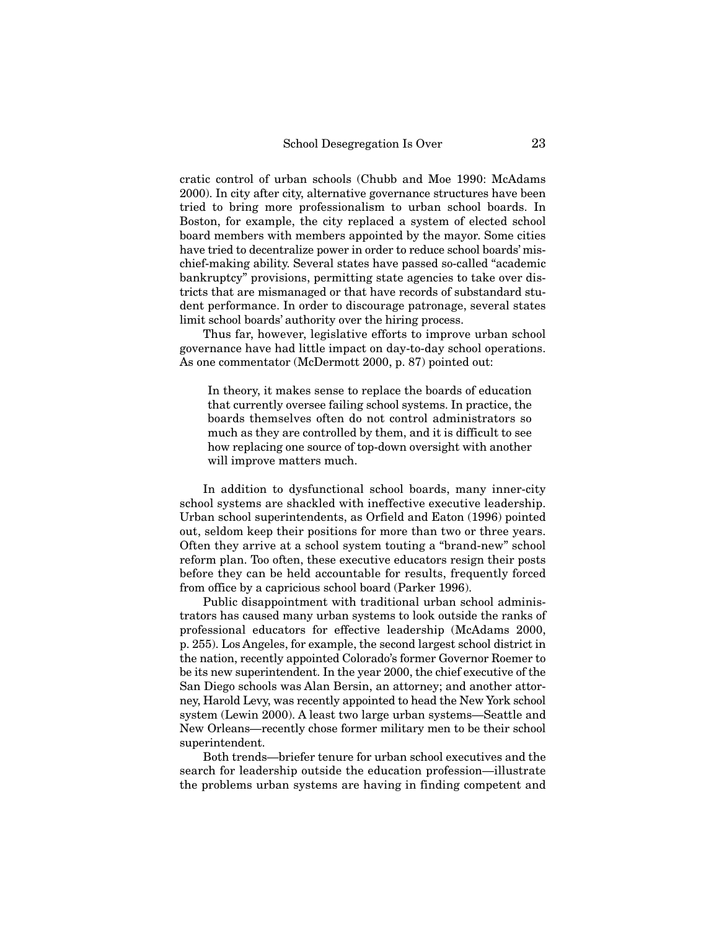cratic control of urban schools (Chubb and Moe 1990: McAdams 2000). In city after city, alternative governance structures have been tried to bring more professionalism to urban school boards. In Boston, for example, the city replaced a system of elected school board members with members appointed by the mayor. Some cities have tried to decentralize power in order to reduce school boards' mischief-making ability. Several states have passed so-called "academic bankruptcy" provisions, permitting state agencies to take over districts that are mismanaged or that have records of substandard student performance. In order to discourage patronage, several states limit school boards' authority over the hiring process.

Thus far, however, legislative efforts to improve urban school governance have had little impact on day-to-day school operations. As one commentator (McDermott 2000, p. 87) pointed out:

In theory, it makes sense to replace the boards of education that currently oversee failing school systems. In practice, the boards themselves often do not control administrators so much as they are controlled by them, and it is difficult to see how replacing one source of top-down oversight with another will improve matters much.

In addition to dysfunctional school boards, many inner-city school systems are shackled with ineffective executive leadership. Urban school superintendents, as Orfield and Eaton (1996) pointed out, seldom keep their positions for more than two or three years. Often they arrive at a school system touting a "brand-new" school reform plan. Too often, these executive educators resign their posts before they can be held accountable for results, frequently forced from office by a capricious school board (Parker 1996).

Public disappointment with traditional urban school administrators has caused many urban systems to look outside the ranks of professional educators for effective leadership (McAdams 2000, p. 255). Los Angeles, for example, the second largest school district in the nation, recently appointed Colorado's former Governor Roemer to be its new superintendent. In the year 2000, the chief executive of the San Diego schools was Alan Bersin, an attorney; and another attorney, Harold Levy, was recently appointed to head the New York school system (Lewin 2000). A least two large urban systems—Seattle and New Orleans—recently chose former military men to be their school superintendent.

Both trends—briefer tenure for urban school executives and the search for leadership outside the education profession—illustrate the problems urban systems are having in finding competent and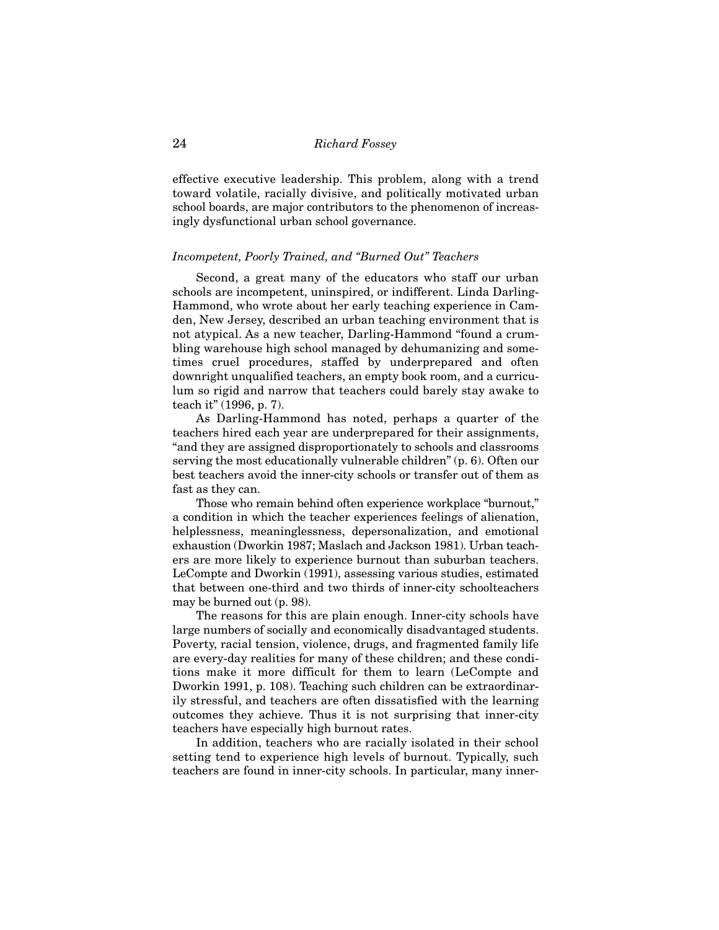effective executive leadership. This problem, along with a trend toward volatile, racially divisive, and politically motivated urban school boards, are major contributors to the phenomenon of increasingly dysfunctional urban school governance.

#### *Incompetent, Poorly Trained, and "Burned Out" Teachers*

Second, a great many of the educators who staff our urban schools are incompetent, uninspired, or indifferent. Linda Darling-Hammond, who wrote about her early teaching experience in Camden, New Jersey, described an urban teaching environment that is not atypical. As a new teacher, Darling-Hammond "found a crumbling warehouse high school managed by dehumanizing and sometimes cruel procedures, staffed by underprepared and often downright unqualified teachers, an empty book room, and a curriculum so rigid and narrow that teachers could barely stay awake to teach it" (1996, p. 7).

As Darling-Hammond has noted, perhaps a quarter of the teachers hired each year are underprepared for their assignments, "and they are assigned disproportionately to schools and classrooms serving the most educationally vulnerable children" (p. 6). Often our best teachers avoid the inner-city schools or transfer out of them as fast as they can.

Those who remain behind often experience workplace "burnout," a condition in which the teacher experiences feelings of alienation, helplessness, meaninglessness, depersonalization, and emotional exhaustion (Dworkin 1987; Maslach and Jackson 1981). Urban teachers are more likely to experience burnout than suburban teachers. LeCompte and Dworkin (1991), assessing various studies, estimated that between one-third and two thirds of inner-city schoolteachers may be burned out (p. 98).

The reasons for this are plain enough. Inner-city schools have large numbers of socially and economically disadvantaged students. Poverty, racial tension, violence, drugs, and fragmented family life are every-day realities for many of these children; and these conditions make it more difficult for them to learn (LeCompte and Dworkin 1991, p. 108). Teaching such children can be extraordinarily stressful, and teachers are often dissatisfied with the learning outcomes they achieve. Thus it is not surprising that inner-city teachers have especially high burnout rates.

In addition, teachers who are racially isolated in their school setting tend to experience high levels of burnout. Typically, such teachers are found in inner-city schools. In particular, many inner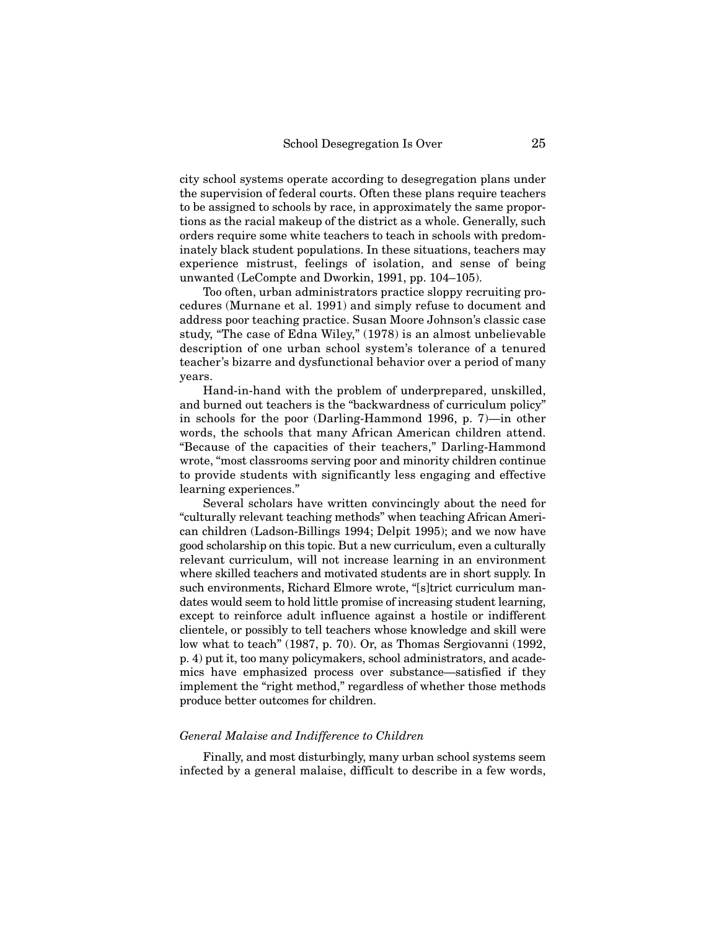city school systems operate according to desegregation plans under the supervision of federal courts. Often these plans require teachers to be assigned to schools by race, in approximately the same proportions as the racial makeup of the district as a whole. Generally, such orders require some white teachers to teach in schools with predominately black student populations. In these situations, teachers may experience mistrust, feelings of isolation, and sense of being unwanted (LeCompte and Dworkin, 1991, pp. 104–105).

Too often, urban administrators practice sloppy recruiting procedures (Murnane et al. 1991) and simply refuse to document and address poor teaching practice. Susan Moore Johnson's classic case study, "The case of Edna Wiley," (1978) is an almost unbelievable description of one urban school system's tolerance of a tenured teacher's bizarre and dysfunctional behavior over a period of many years.

Hand-in-hand with the problem of underprepared, unskilled, and burned out teachers is the "backwardness of curriculum policy" in schools for the poor (Darling-Hammond 1996, p. 7)—in other words, the schools that many African American children attend. "Because of the capacities of their teachers," Darling-Hammond wrote, "most classrooms serving poor and minority children continue to provide students with significantly less engaging and effective learning experiences."

Several scholars have written convincingly about the need for "culturally relevant teaching methods" when teaching African American children (Ladson-Billings 1994; Delpit 1995); and we now have good scholarship on this topic. But a new curriculum, even a culturally relevant curriculum, will not increase learning in an environment where skilled teachers and motivated students are in short supply. In such environments, Richard Elmore wrote, "[s]trict curriculum mandates would seem to hold little promise of increasing student learning, except to reinforce adult influence against a hostile or indifferent clientele, or possibly to tell teachers whose knowledge and skill were low what to teach" (1987, p. 70). Or, as Thomas Sergiovanni (1992, p. 4) put it, too many policymakers, school administrators, and academics have emphasized process over substance—satisfied if they implement the "right method," regardless of whether those methods produce better outcomes for children.

#### *General Malaise and Indifference to Children*

Finally, and most disturbingly, many urban school systems seem infected by a general malaise, difficult to describe in a few words,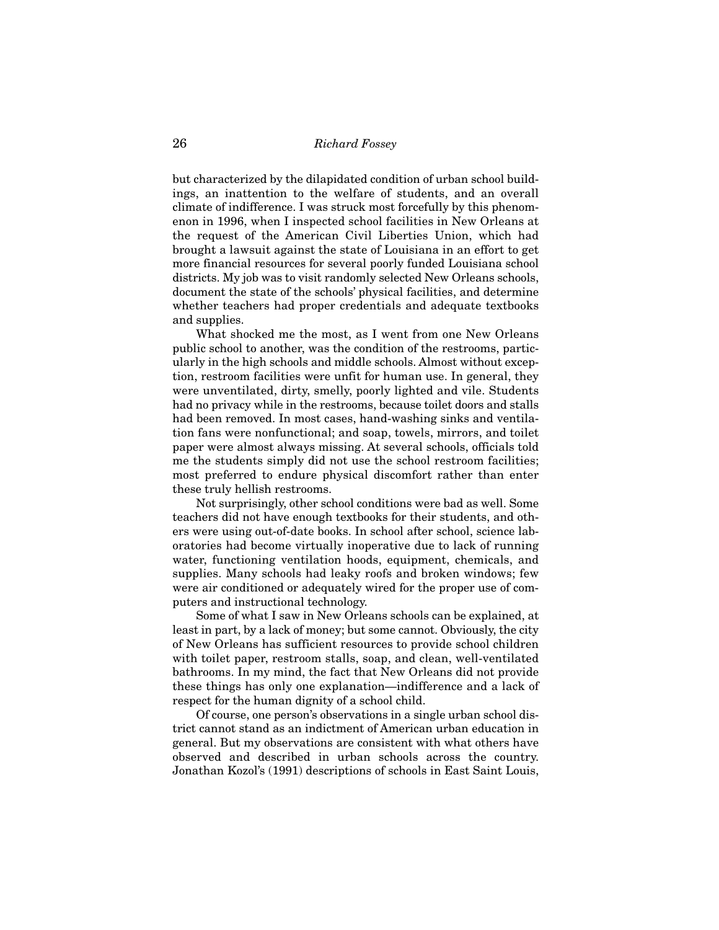but characterized by the dilapidated condition of urban school buildings, an inattention to the welfare of students, and an overall climate of indifference. I was struck most forcefully by this phenomenon in 1996, when I inspected school facilities in New Orleans at the request of the American Civil Liberties Union, which had brought a lawsuit against the state of Louisiana in an effort to get more financial resources for several poorly funded Louisiana school districts. My job was to visit randomly selected New Orleans schools, document the state of the schools' physical facilities, and determine whether teachers had proper credentials and adequate textbooks and supplies.

What shocked me the most, as I went from one New Orleans public school to another, was the condition of the restrooms, particularly in the high schools and middle schools. Almost without exception, restroom facilities were unfit for human use. In general, they were unventilated, dirty, smelly, poorly lighted and vile. Students had no privacy while in the restrooms, because toilet doors and stalls had been removed. In most cases, hand-washing sinks and ventilation fans were nonfunctional; and soap, towels, mirrors, and toilet paper were almost always missing. At several schools, officials told me the students simply did not use the school restroom facilities; most preferred to endure physical discomfort rather than enter these truly hellish restrooms.

Not surprisingly, other school conditions were bad as well. Some teachers did not have enough textbooks for their students, and others were using out-of-date books. In school after school, science laboratories had become virtually inoperative due to lack of running water, functioning ventilation hoods, equipment, chemicals, and supplies. Many schools had leaky roofs and broken windows; few were air conditioned or adequately wired for the proper use of computers and instructional technology.

Some of what I saw in New Orleans schools can be explained, at least in part, by a lack of money; but some cannot. Obviously, the city of New Orleans has sufficient resources to provide school children with toilet paper, restroom stalls, soap, and clean, well-ventilated bathrooms. In my mind, the fact that New Orleans did not provide these things has only one explanation—indifference and a lack of respect for the human dignity of a school child.

Of course, one person's observations in a single urban school district cannot stand as an indictment of American urban education in general. But my observations are consistent with what others have observed and described in urban schools across the country. Jonathan Kozol's (1991) descriptions of schools in East Saint Louis,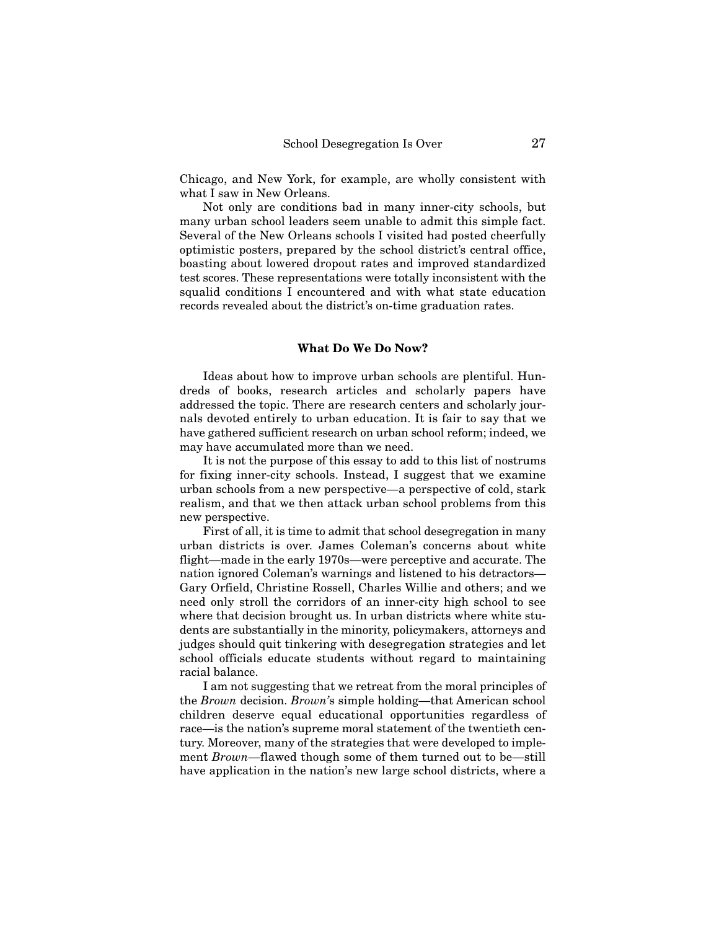Chicago, and New York, for example, are wholly consistent with what I saw in New Orleans.

Not only are conditions bad in many inner-city schools, but many urban school leaders seem unable to admit this simple fact. Several of the New Orleans schools I visited had posted cheerfully optimistic posters, prepared by the school district's central office, boasting about lowered dropout rates and improved standardized test scores. These representations were totally inconsistent with the squalid conditions I encountered and with what state education records revealed about the district's on-time graduation rates.

#### **What Do We Do Now?**

Ideas about how to improve urban schools are plentiful. Hundreds of books, research articles and scholarly papers have addressed the topic. There are research centers and scholarly journals devoted entirely to urban education. It is fair to say that we have gathered sufficient research on urban school reform; indeed, we may have accumulated more than we need.

It is not the purpose of this essay to add to this list of nostrums for fixing inner-city schools. Instead, I suggest that we examine urban schools from a new perspective—a perspective of cold, stark realism, and that we then attack urban school problems from this new perspective.

First of all, it is time to admit that school desegregation in many urban districts is over. James Coleman's concerns about white flight—made in the early 1970s—were perceptive and accurate. The nation ignored Coleman's warnings and listened to his detractors— Gary Orfield, Christine Rossell, Charles Willie and others; and we need only stroll the corridors of an inner-city high school to see where that decision brought us. In urban districts where white students are substantially in the minority, policymakers, attorneys and judges should quit tinkering with desegregation strategies and let school officials educate students without regard to maintaining racial balance.

I am not suggesting that we retreat from the moral principles of the *Brown* decision. *Brown'*s simple holding—that American school children deserve equal educational opportunities regardless of race—is the nation's supreme moral statement of the twentieth century. Moreover, many of the strategies that were developed to implement *Brown*—flawed though some of them turned out to be—still have application in the nation's new large school districts, where a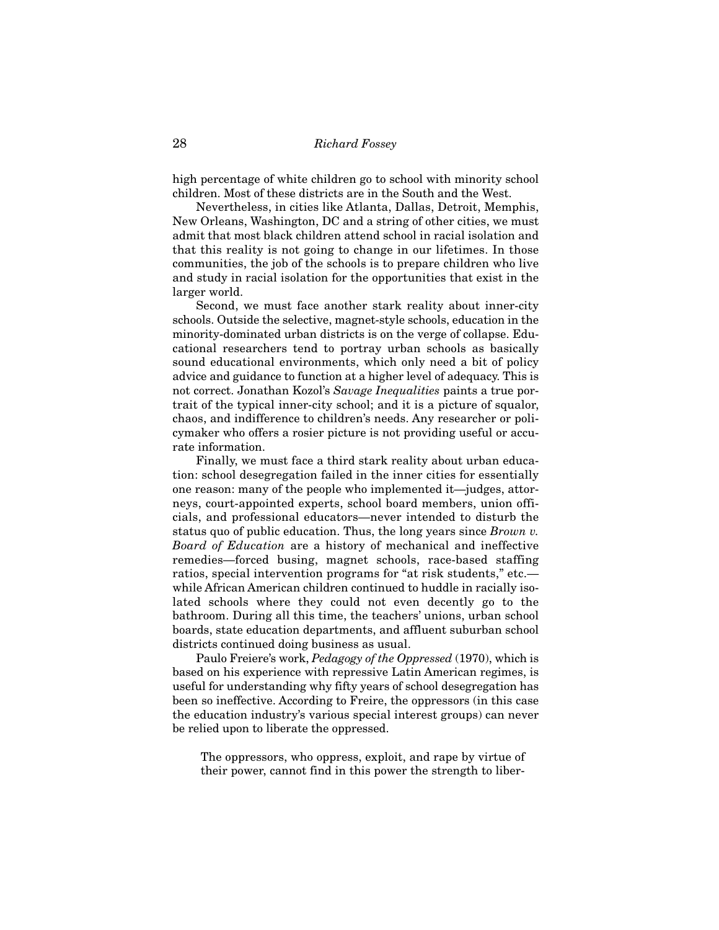high percentage of white children go to school with minority school children. Most of these districts are in the South and the West.

Nevertheless, in cities like Atlanta, Dallas, Detroit, Memphis, New Orleans, Washington, DC and a string of other cities, we must admit that most black children attend school in racial isolation and that this reality is not going to change in our lifetimes. In those communities, the job of the schools is to prepare children who live and study in racial isolation for the opportunities that exist in the larger world.

Second, we must face another stark reality about inner-city schools. Outside the selective, magnet-style schools, education in the minority-dominated urban districts is on the verge of collapse. Educational researchers tend to portray urban schools as basically sound educational environments, which only need a bit of policy advice and guidance to function at a higher level of adequacy. This is not correct. Jonathan Kozol's *Savage Inequalities* paints a true portrait of the typical inner-city school; and it is a picture of squalor, chaos, and indifference to children's needs. Any researcher or policymaker who offers a rosier picture is not providing useful or accurate information.

Finally, we must face a third stark reality about urban education: school desegregation failed in the inner cities for essentially one reason: many of the people who implemented it—judges, attorneys, court-appointed experts, school board members, union officials, and professional educators—never intended to disturb the status quo of public education. Thus, the long years since *Brown v. Board of Education* are a history of mechanical and ineffective remedies—forced busing, magnet schools, race-based staffing ratios, special intervention programs for "at risk students," etc. while African American children continued to huddle in racially isolated schools where they could not even decently go to the bathroom. During all this time, the teachers' unions, urban school boards, state education departments, and affluent suburban school districts continued doing business as usual.

Paulo Freiere's work, *Pedagogy of the Oppressed* (1970), which is based on his experience with repressive Latin American regimes, is useful for understanding why fifty years of school desegregation has been so ineffective. According to Freire, the oppressors (in this case the education industry's various special interest groups) can never be relied upon to liberate the oppressed.

The oppressors, who oppress, exploit, and rape by virtue of their power, cannot find in this power the strength to liber-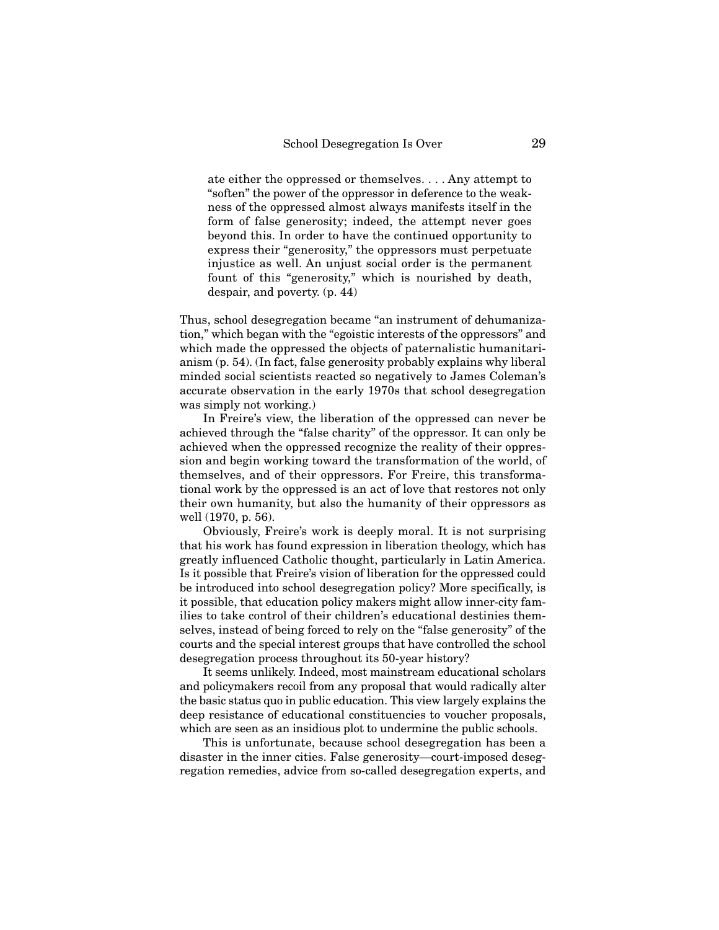ate either the oppressed or themselves. . . . Any attempt to "soften" the power of the oppressor in deference to the weakness of the oppressed almost always manifests itself in the form of false generosity; indeed, the attempt never goes beyond this. In order to have the continued opportunity to express their "generosity," the oppressors must perpetuate injustice as well. An unjust social order is the permanent fount of this "generosity," which is nourished by death, despair, and poverty. (p. 44)

Thus, school desegregation became "an instrument of dehumanization," which began with the "egoistic interests of the oppressors" and which made the oppressed the objects of paternalistic humanitarianism (p. 54). (In fact, false generosity probably explains why liberal minded social scientists reacted so negatively to James Coleman's accurate observation in the early 1970s that school desegregation was simply not working.)

In Freire's view, the liberation of the oppressed can never be achieved through the "false charity" of the oppressor. It can only be achieved when the oppressed recognize the reality of their oppression and begin working toward the transformation of the world, of themselves, and of their oppressors. For Freire, this transformational work by the oppressed is an act of love that restores not only their own humanity, but also the humanity of their oppressors as well (1970, p. 56).

Obviously, Freire's work is deeply moral. It is not surprising that his work has found expression in liberation theology, which has greatly influenced Catholic thought, particularly in Latin America. Is it possible that Freire's vision of liberation for the oppressed could be introduced into school desegregation policy? More specifically, is it possible, that education policy makers might allow inner-city families to take control of their children's educational destinies themselves, instead of being forced to rely on the "false generosity" of the courts and the special interest groups that have controlled the school desegregation process throughout its 50-year history?

It seems unlikely. Indeed, most mainstream educational scholars and policymakers recoil from any proposal that would radically alter the basic status quo in public education. This view largely explains the deep resistance of educational constituencies to voucher proposals, which are seen as an insidious plot to undermine the public schools.

This is unfortunate, because school desegregation has been a disaster in the inner cities. False generosity—court-imposed desegregation remedies, advice from so-called desegregation experts, and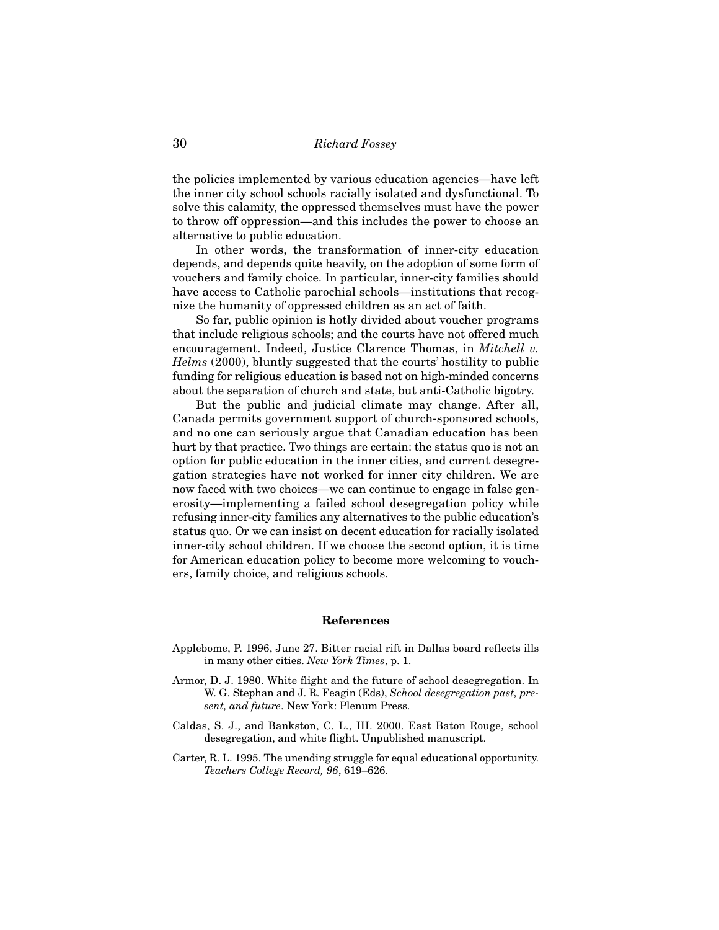the policies implemented by various education agencies—have left the inner city school schools racially isolated and dysfunctional. To solve this calamity, the oppressed themselves must have the power to throw off oppression—and this includes the power to choose an alternative to public education.

In other words, the transformation of inner-city education depends, and depends quite heavily, on the adoption of some form of vouchers and family choice. In particular, inner-city families should have access to Catholic parochial schools—institutions that recognize the humanity of oppressed children as an act of faith.

So far, public opinion is hotly divided about voucher programs that include religious schools; and the courts have not offered much encouragement. Indeed, Justice Clarence Thomas, in *Mitchell v. Helms* (2000), bluntly suggested that the courts' hostility to public funding for religious education is based not on high-minded concerns about the separation of church and state, but anti-Catholic bigotry.

But the public and judicial climate may change. After all, Canada permits government support of church-sponsored schools, and no one can seriously argue that Canadian education has been hurt by that practice. Two things are certain: the status quo is not an option for public education in the inner cities, and current desegregation strategies have not worked for inner city children. We are now faced with two choices—we can continue to engage in false generosity—implementing a failed school desegregation policy while refusing inner-city families any alternatives to the public education's status quo. Or we can insist on decent education for racially isolated inner-city school children. If we choose the second option, it is time for American education policy to become more welcoming to vouchers, family choice, and religious schools.

#### **References**

- Applebome, P. 1996, June 27. Bitter racial rift in Dallas board reflects ills in many other cities. *New York Times*, p. 1.
- Armor, D. J. 1980. White flight and the future of school desegregation. In W. G. Stephan and J. R. Feagin (Eds), *School desegregation past, present, and future*. New York: Plenum Press.
- Caldas, S. J., and Bankston, C. L., III. 2000. East Baton Rouge, school desegregation, and white flight. Unpublished manuscript.
- Carter, R. L. 1995. The unending struggle for equal educational opportunity. *Teachers College Record, 96*, 619–626.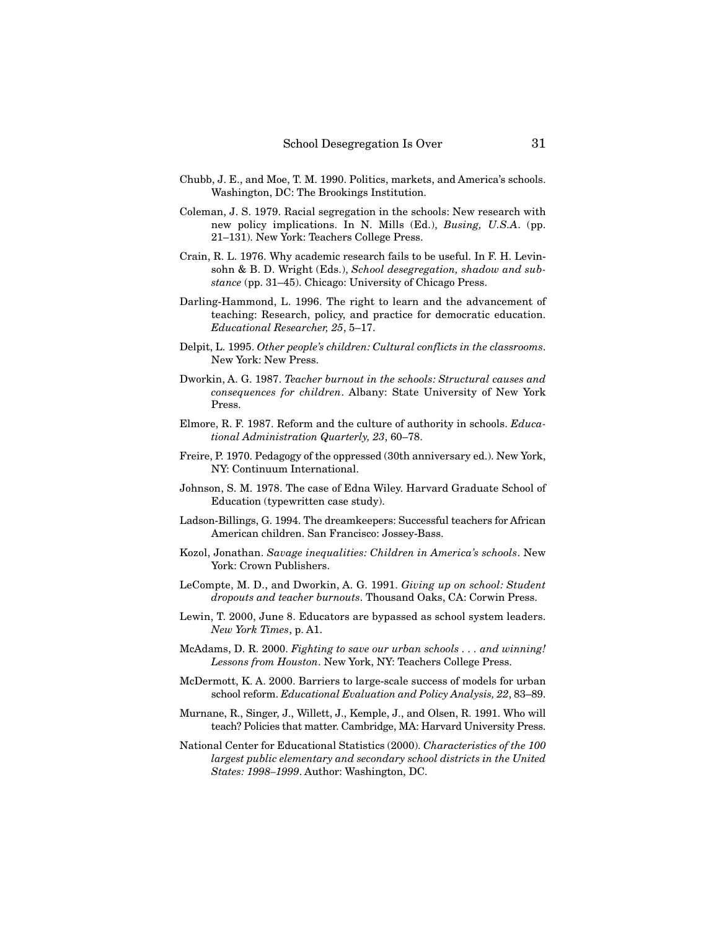- Chubb, J. E., and Moe, T. M. 1990. Politics, markets, and America's schools. Washington, DC: The Brookings Institution.
- Coleman, J. S. 1979. Racial segregation in the schools: New research with new policy implications. In N. Mills (Ed.), *Busing, U.S.A*. (pp. 21–131). New York: Teachers College Press.
- Crain, R. L. 1976. Why academic research fails to be useful. In F. H. Levinsohn & B. D. Wright (Eds.), *School desegregation, shadow and substance* (pp. 31–45). Chicago: University of Chicago Press.
- Darling-Hammond, L. 1996. The right to learn and the advancement of teaching: Research, policy, and practice for democratic education. *Educational Researcher, 25*, 5–17.
- Delpit, L. 1995. *Other people's children: Cultural conflicts in the classrooms*. New York: New Press.
- Dworkin, A. G. 1987. *Teacher burnout in the schools: Structural causes and consequences for children*. Albany: State University of New York Press.
- Elmore, R. F. 1987. Reform and the culture of authority in schools. *Educational Administration Quarterly, 23*, 60–78.
- Freire, P. 1970. Pedagogy of the oppressed (30th anniversary ed.). New York, NY: Continuum International.
- Johnson, S. M. 1978. The case of Edna Wiley. Harvard Graduate School of Education (typewritten case study).
- Ladson-Billings, G. 1994. The dreamkeepers: Successful teachers for African American children. San Francisco: Jossey-Bass.
- Kozol, Jonathan. *Savage inequalities: Children in America's schools*. New York: Crown Publishers.
- LeCompte, M. D., and Dworkin, A. G. 1991. *Giving up on school: Student dropouts and teacher burnouts*. Thousand Oaks, CA: Corwin Press.
- Lewin, T. 2000, June 8. Educators are bypassed as school system leaders. *New York Times*, p. A1.
- McAdams, D. R. 2000. *Fighting to save our urban schools . . . and winning! Lessons from Houston*. New York, NY: Teachers College Press.
- McDermott, K. A. 2000. Barriers to large-scale success of models for urban school reform. *Educational Evaluation and Policy Analysis, 22*, 83–89.
- Murnane, R., Singer, J., Willett, J., Kemple, J., and Olsen, R. 1991. Who will teach? Policies that matter. Cambridge, MA: Harvard University Press.
- National Center for Educational Statistics (2000). *Characteristics of the 100 largest public elementary and secondary school districts in the United States: 1998–1999*. Author: Washington, DC.